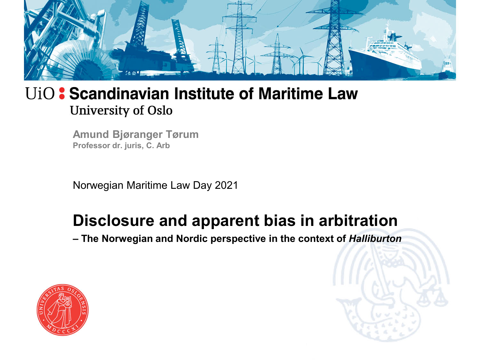

**Amund Bjøranger Tørum Professor dr. juris, C. Arb**

Norwegian Maritime Law Day 2021

#### **Disclosure and apparent bias in arbitration**

**– The Norwegian and Nordic perspective in the context of** *Halliburton*



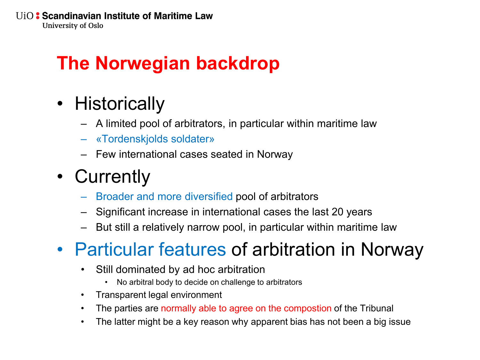# **The Norwegian backdrop**

- Historically
	- A limited pool of arbitrators, in particular within maritime law
	- «Tordenskjolds soldater»
	- Few international cases seated in Norway
- Currently
	- Broader and more diversified pool of arbitrators
	- Significant increase in international cases the last 20 years
	- But still a relatively narrow pool, in particular within maritime law

# • Particular features of arbitration in Norway

- Still dominated by ad hoc arbitration
	- No arbitral body to decide on challenge to arbitrators
- Transparent legal environment
- The parties are normally able to agree on the compostion of the Tribunal
- The latter might be a key reason why apparent bias has not been a big issue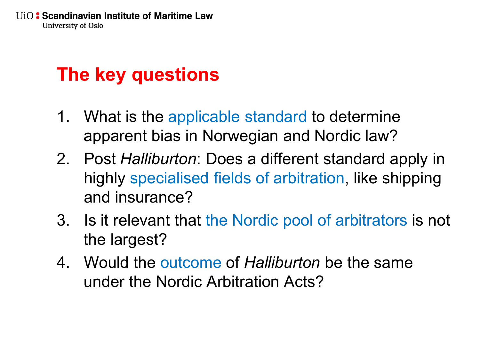## **The key questions**

- 1. What is the applicable standard to determine apparent bias in Norwegian and Nordic law?
- 2. Post *Halliburton*: Does a different standard apply in highly specialised fields of arbitration, like shipping and insurance?
- 3. Is it relevant that the Nordic pool of arbitrators is not the largest?
- 4. Would the outcome of *Halliburton* be the same under the Nordic Arbitration Acts?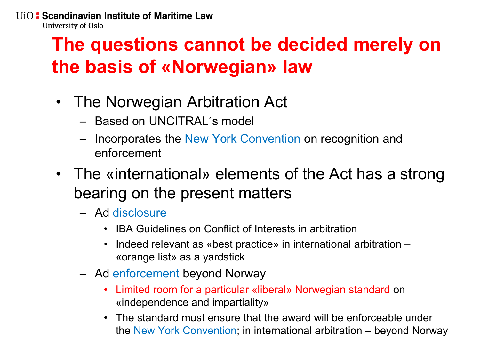## **The questions cannot be decided merely on the basis of «Norwegian» law**

- The Norwegian Arbitration Act
	- Based on UNCITRAL´s model
	- Incorporates the New York Convention on recognition and enforcement
- The «international» elements of the Act has a strong bearing on the present matters
	- Ad disclosure
		- IBA Guidelines on Conflict of Interests in arbitration
		- Indeed relevant as «best practice» in international arbitration «orange list» as a yardstick
	- Ad enforcement beyond Norway
		- Limited room for a particular «liberal» Norwegian standard on «independence and impartiality»
		- The standard must ensure that the award will be enforceable under the New York Convention; in international arbitration – beyond Norway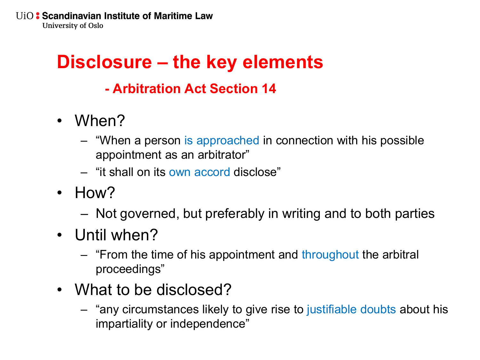## **Disclosure – the key elements**

#### **- Arbitration Act Section 14**

- When?
	- "When a person is approached in connection with his possible appointment as an arbitrator"
	- "it shall on its own accord disclose"
- How?
	- Not governed, but preferably in writing and to both parties
- Until when?
	- "From the time of his appointment and throughout the arbitral proceedings"
- What to be disclosed?
	- "any circumstances likely to give rise to justifiable doubts about his impartiality or independence"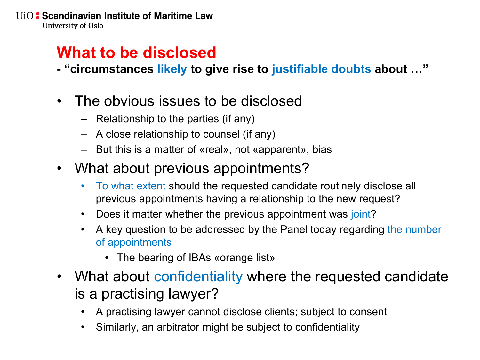#### **What to be disclosed**

- **- "circumstances likely to give rise to justifiable doubts about …"**
- The obvious issues to be disclosed
	- Relationship to the parties (if any)
	- A close relationship to counsel (if any)
	- But this is a matter of «real», not «apparent», bias
- What about previous appointments?
	- To what extent should the requested candidate routinely disclose all previous appointments having a relationship to the new request?
	- Does it matter whether the previous appointment was joint?
	- A key question to be addressed by the Panel today regarding the number of appointments
		- The bearing of IBAs «orange list»
- What about confidentiality where the requested candidate is a practising lawyer?
	- A practising lawyer cannot disclose clients; subject to consent
	- Similarly, an arbitrator might be subject to confidentiality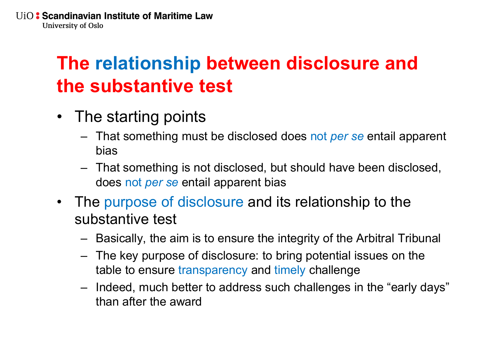## **The relationship between disclosure and the substantive test**

- The starting points
	- That something must be disclosed does not *per se* entail apparent bias
	- That something is not disclosed, but should have been disclosed, does not *per se* entail apparent bias
- The purpose of disclosure and its relationship to the substantive test
	- Basically, the aim is to ensure the integrity of the Arbitral Tribunal
	- The key purpose of disclosure: to bring potential issues on the table to ensure transparency and timely challenge
	- Indeed, much better to address such challenges in the "early days" than after the award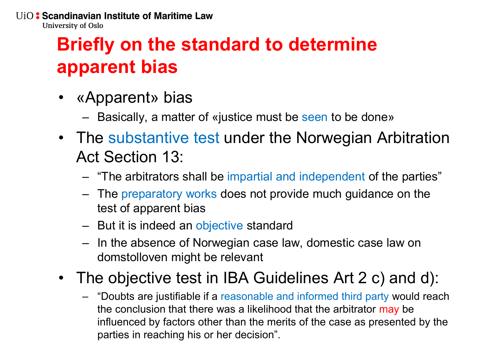## **Briefly on the standard to determine apparent bias**

- «Apparent» bias
	- Basically, a matter of «justice must be seen to be done»
- The substantive test under the Norwegian Arbitration Act Section 13:
	- "The arbitrators shall be impartial and independent of the parties"
	- The preparatory works does not provide much guidance on the test of apparent bias
	- But it is indeed an objective standard
	- In the absence of Norwegian case law, domestic case law on domstolloven might be relevant
- The objective test in IBA Guidelines Art 2 c) and d):
	- "Doubts are justifiable if a reasonable and informed third party would reach the conclusion that there was a likelihood that the arbitrator may be influenced by factors other than the merits of the case as presented by the parties in reaching his or her decision".